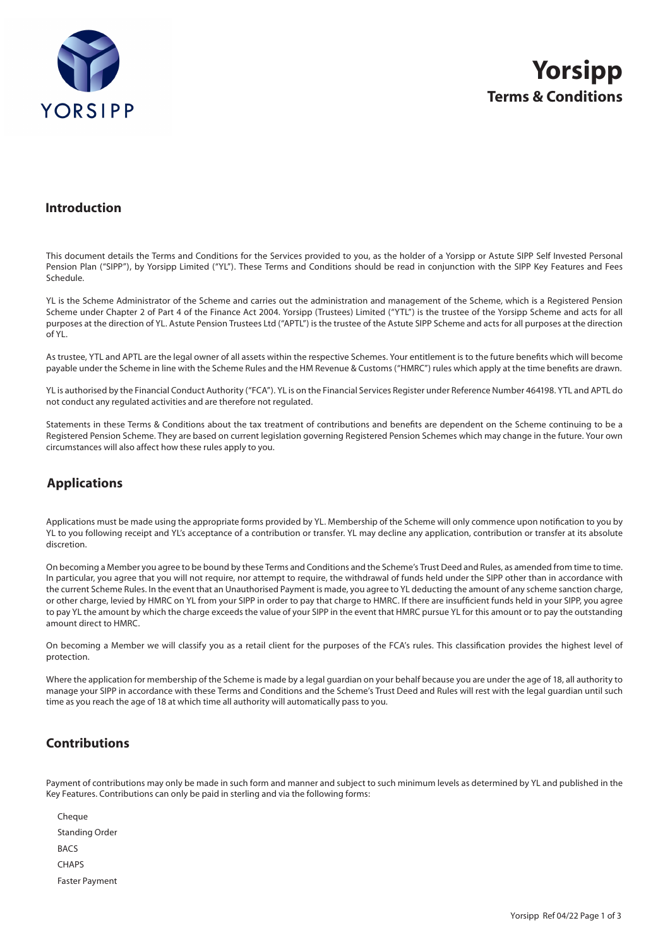

#### **Introduction**

This document details the Terms and Conditions for the Services provided to you, as the holder of a Yorsipp or Astute SIPP Self Invested Personal Pension Plan ("SIPP"), by Yorsipp Limited ("YL"). These Terms and Conditions should be read in conjunction with the SIPP Key Features and Fees Schedule.

YL is the Scheme Administrator of the Scheme and carries out the administration and management of the Scheme, which is a Registered Pension Scheme under Chapter 2 of Part 4 of the Finance Act 2004. Yorsipp (Trustees) Limited ("YTL") is the trustee of the Yorsipp Scheme and acts for all purposes at the direction of YL. Astute Pension Trustees Ltd ("APTL") is the trustee of the Astute SIPP Scheme and acts for all purposes at the direction of YL.

As trustee, YTL and APTL are the legal owner of all assets within the respective Schemes. Your entitlement is to the future benefits which will become payable under the Scheme in line with the Scheme Rules and the HM Revenue & Customs ("HMRC") rules which apply at the time benefits are drawn.

YL is authorised by the Financial Conduct Authority ("FCA"). YL is on the Financial Services Register under Reference Number 464198. YTL and APTL do not conduct any regulated activities and are therefore not regulated.

Statements in these Terms & Conditions about the tax treatment of contributions and benefits are dependent on the Scheme continuing to be a Registered Pension Scheme. They are based on current legislation governing Registered Pension Schemes which may change in the future. Your own circumstances will also affect how these rules apply to you.

# **Applications**

Applications must be made using the appropriate forms provided by YL. Membership of the Scheme will only commence upon notification to you by YL to you following receipt and YL's acceptance of a contribution or transfer. YL may decline any application, contribution or transfer at its absolute discretion.

On becoming a Member you agree to be bound by these Terms and Conditions and the Scheme's Trust Deed and Rules, as amended from time to time. In particular, you agree that you will not require, nor attempt to require, the withdrawal of funds held under the SIPP other than in accordance with the current Scheme Rules. In the event that an Unauthorised Payment is made, you agree to YL deducting the amount of any scheme sanction charge, or other charge, levied by HMRC on YL from your SIPP in order to pay that charge to HMRC. If there are insufficient funds held in your SIPP, you agree to pay YL the amount by which the charge exceeds the value of your SIPP in the event that HMRC pursue YL for this amount or to pay the outstanding amount direct to HMRC.

On becoming a Member we will classify you as a retail client for the purposes of the FCA's rules. This classification provides the highest level of protection.

Where the application for membership of the Scheme is made by a legal guardian on your behalf because you are under the age of 18, all authority to manage your SIPP in accordance with these Terms and Conditions and the Scheme's Trust Deed and Rules will rest with the legal guardian until such time as you reach the age of 18 at which time all authority will automatically pass to you.

#### **Contributions**

Payment of contributions may only be made in such form and manner and subject to such minimum levels as determined by YL and published in the Key Features. Contributions can only be paid in sterling and via the following forms:

Cheque Standing Order **BACS CHAPS** Faster Payment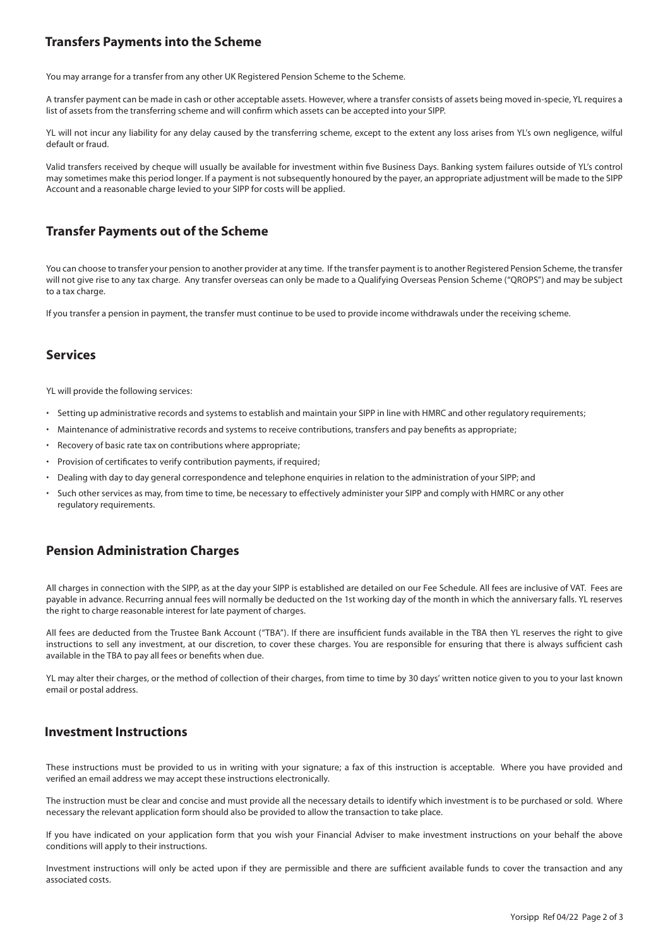# **Transfers Payments into the Scheme**

You may arrange for a transfer from any other UK Registered Pension Scheme to the Scheme.

A transfer payment can be made in cash or other acceptable assets. However, where a transfer consists of assets being moved in-specie, YL requires a list of assets from the transferring scheme and will confirm which assets can be accepted into your SIPP.

YL will not incur any liability for any delay caused by the transferring scheme, except to the extent any loss arises from YL's own negligence, wilful default or fraud.

Valid transfers received by cheque will usually be available for investment within five Business Days. Banking system failures outside of YL's control may sometimes make this period longer. If a payment is not subsequently honoured by the payer, an appropriate adjustment will be made to the SIPP Account and a reasonable charge levied to your SIPP for costs will be applied.

### **Transfer Payments out of the Scheme**

You can choose to transfer your pension to another provider at any time. If the transfer payment is to another Registered Pension Scheme, the transfer will not give rise to any tax charge. Any transfer overseas can only be made to a Qualifying Overseas Pension Scheme ("QROPS") and may be subject to a tax charge.

If you transfer a pension in payment, the transfer must continue to be used to provide income withdrawals under the receiving scheme.

#### **Services**

YL will provide the following services:

- Setting up administrative records and systems to establish and maintain your SIPP in line with HMRC and other regulatory requirements;
- Maintenance of administrative records and systems to receive contributions, transfers and pay benefits as appropriate;
- Recovery of basic rate tax on contributions where appropriate;
- Provision of certificates to verify contribution payments, if required;
- Dealing with day to day general correspondence and telephone enquiries in relation to the administration of your SIPP; and
- Such other services as may, from time to time, be necessary to effectively administer your SIPP and comply with HMRC or any other regulatory requirements.

# **Pension Administration Charges**

All charges in connection with the SIPP, as at the day your SIPP is established are detailed on our Fee Schedule. All fees are inclusive of VAT. Fees are payable in advance. Recurring annual fees will normally be deducted on the 1st working day of the month in which the anniversary falls. YL reserves the right to charge reasonable interest for late payment of charges.

All fees are deducted from the Trustee Bank Account ("TBA"). If there are insufficient funds available in the TBA then YL reserves the right to give instructions to sell any investment, at our discretion, to cover these charges. You are responsible for ensuring that there is always sufficient cash available in the TBA to pay all fees or benefits when due.

YL may alter their charges, or the method of collection of their charges, from time to time by 30 days' written notice given to you to your last known email or postal address.

#### **Investment Instructions**

These instructions must be provided to us in writing with your signature; a fax of this instruction is acceptable. Where you have provided and verified an email address we may accept these instructions electronically.

The instruction must be clear and concise and must provide all the necessary details to identify which investment is to be purchased or sold. Where necessary the relevant application form should also be provided to allow the transaction to take place.

If you have indicated on your application form that you wish your Financial Adviser to make investment instructions on your behalf the above conditions will apply to their instructions.

Investment instructions will only be acted upon if they are permissible and there are sufficient available funds to cover the transaction and any associated costs.